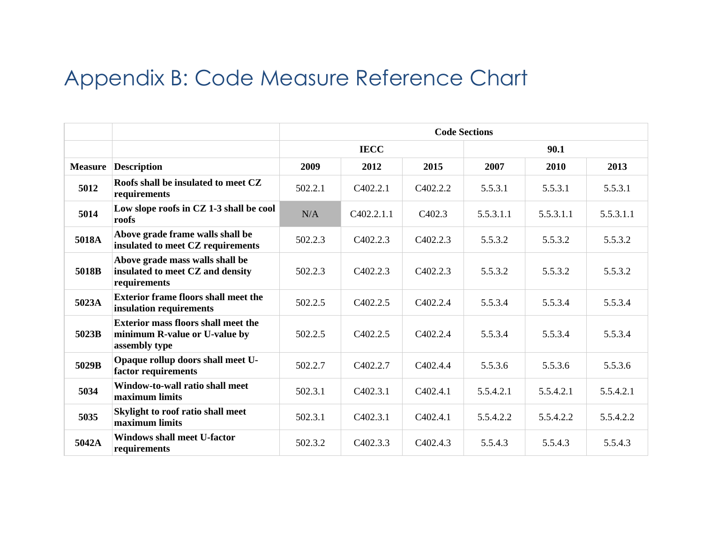## Appendix B: Code Measure Reference Chart

|                |                                                                                              | <b>Code Sections</b> |                       |                       |           |           |           |  |
|----------------|----------------------------------------------------------------------------------------------|----------------------|-----------------------|-----------------------|-----------|-----------|-----------|--|
|                |                                                                                              | <b>IECC</b>          |                       |                       | 90.1      |           |           |  |
| <b>Measure</b> | <b>Description</b>                                                                           | 2009                 | 2012                  | 2015                  | 2007      | 2010      | 2013      |  |
| 5012           | Roofs shall be insulated to meet CZ<br>requirements                                          | 502.2.1              | C402.2.1              | C402.2.2              | 5.5.3.1   | 5.5.3.1   | 5.5.3.1   |  |
| 5014           | Low slope roofs in CZ 1-3 shall be cool<br>roofs                                             | N/A                  | C402.2.1.1            | C <sub>4</sub> 02.3   | 5.5.3.1.1 | 5.5.3.1.1 | 5.5.3.1.1 |  |
| 5018A          | Above grade frame walls shall be<br>insulated to meet CZ requirements                        | 502.2.3              | C <sub>4</sub> 02.2.3 | C <sub>4</sub> 02.2.3 | 5.5.3.2   | 5.5.3.2   | 5.5.3.2   |  |
| 5018B          | Above grade mass walls shall be<br>insulated to meet CZ and density<br>requirements          | 502.2.3              | C <sub>4</sub> 02.2.3 | C <sub>4</sub> 02.2.3 | 5.5.3.2   | 5.5.3.2   | 5.5.3.2   |  |
| 5023A          | <b>Exterior frame floors shall meet the</b><br>insulation requirements                       | 502.2.5              | C <sub>4</sub> 02.2.5 | C <sub>4</sub> 02.2.4 | 5.5.3.4   | 5.5.3.4   | 5.5.3.4   |  |
| 5023B          | <b>Exterior mass floors shall meet the</b><br>minimum R-value or U-value by<br>assembly type | 502.2.5              | C <sub>4</sub> 02.2.5 | C <sub>4</sub> 02.2.4 | 5.5.3.4   | 5.5.3.4   | 5.5.3.4   |  |
| 5029B          | Opaque rollup doors shall meet U-<br>factor requirements                                     | 502.2.7              | C402.2.7              | C <sub>4</sub> 02.4.4 | 5.5.3.6   | 5.5.3.6   | 5.5.3.6   |  |
| 5034           | Window-to-wall ratio shall meet<br>maximum limits                                            | 502.3.1              | C <sub>4</sub> 02.3.1 | C <sub>4</sub> 02.4.1 | 5.5.4.2.1 | 5.5.4.2.1 | 5.5.4.2.1 |  |
| 5035           | Skylight to roof ratio shall meet<br>maximum limits                                          | 502.3.1              | C402.3.1              | C <sub>4</sub> 02.4.1 | 5.5.4.2.2 | 5.5.4.2.2 | 5.5.4.2.2 |  |
| 5042A          | <b>Windows shall meet U-factor</b><br>requirements                                           | 502.3.2              | C <sub>4</sub> 02.3.3 | C402.4.3              | 5.5.4.3   | 5.5.4.3   | 5.5.4.3   |  |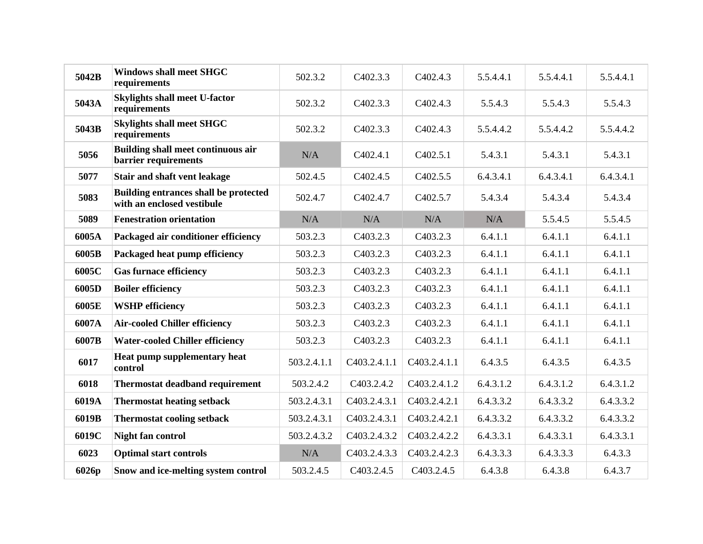| 5042B | <b>Windows shall meet SHGC</b><br>requirements                             | 502.3.2     | C402.3.3                  | C402.4.3                  | 5.5.4.4.1 | 5.5.4.4.1 | 5.5.4.4.1 |
|-------|----------------------------------------------------------------------------|-------------|---------------------------|---------------------------|-----------|-----------|-----------|
| 5043A | <b>Skylights shall meet U-factor</b><br>requirements                       | 502.3.2     | C <sub>4</sub> 02.3.3     | C402.4.3                  | 5.5.4.3   | 5.5.4.3   | 5.5.4.3   |
| 5043B | <b>Skylights shall meet SHGC</b><br>requirements                           | 502.3.2     | C <sub>4</sub> 02.3.3     | C402.4.3                  | 5.5.4.4.2 | 5.5.4.4.2 | 5.5.4.4.2 |
| 5056  | <b>Building shall meet continuous air</b><br>barrier requirements          | N/A         | C402.4.1                  | C <sub>4</sub> 02.5.1     | 5.4.3.1   | 5.4.3.1   | 5.4.3.1   |
| 5077  | Stair and shaft vent leakage                                               | 502.4.5     | C402.4.5                  | C402.5.5                  | 6.4.3.4.1 | 6.4.3.4.1 | 6.4.3.4.1 |
| 5083  | <b>Building entrances shall be protected</b><br>with an enclosed vestibule | 502.4.7     | C402.4.7                  | C402.5.7                  | 5.4.3.4   | 5.4.3.4   | 5.4.3.4   |
| 5089  | <b>Fenestration orientation</b>                                            | N/A         | N/A                       | N/A                       | N/A       | 5.5.4.5   | 5.5.4.5   |
| 6005A | Packaged air conditioner efficiency                                        | 503.2.3     | C403.2.3                  | C <sub>4</sub> 03.2.3     | 6.4.1.1   | 6.4.1.1   | 6.4.1.1   |
| 6005B | Packaged heat pump efficiency                                              | 503.2.3     | C403.2.3                  | C <sub>4</sub> 03.2.3     | 6.4.1.1   | 6.4.1.1   | 6.4.1.1   |
| 6005C | <b>Gas furnace efficiency</b>                                              | 503.2.3     | C403.2.3                  | C403.2.3                  | 6.4.1.1   | 6.4.1.1   | 6.4.1.1   |
| 6005D | <b>Boiler efficiency</b>                                                   | 503.2.3     | C <sub>4</sub> 03.2.3     | C <sub>4</sub> 03.2.3     | 6.4.1.1   | 6.4.1.1   | 6.4.1.1   |
| 6005E | <b>WSHP</b> efficiency                                                     | 503.2.3     | C <sub>4</sub> 03.2.3     | C <sub>4</sub> 03.2.3     | 6.4.1.1   | 6.4.1.1   | 6.4.1.1   |
| 6007A | <b>Air-cooled Chiller efficiency</b>                                       | 503.2.3     | C <sub>4</sub> 03.2.3     | C <sub>4</sub> 03.2.3     | 6.4.1.1   | 6.4.1.1   | 6.4.1.1   |
| 6007B | <b>Water-cooled Chiller efficiency</b>                                     | 503.2.3     | C <sub>4</sub> 03.2.3     | C <sub>4</sub> 03.2.3     | 6.4.1.1   | 6.4.1.1   | 6.4.1.1   |
| 6017  | Heat pump supplementary heat<br>control                                    | 503.2.4.1.1 | C403.2.4.1.1              | C <sub>4</sub> 03.2.4.1.1 | 6.4.3.5   | 6.4.3.5   | 6.4.3.5   |
| 6018  | <b>Thermostat deadband requirement</b>                                     | 503.2.4.2   | C <sub>4</sub> 03.2.4.2   | C <sub>4</sub> 03.2.4.1.2 | 6.4.3.1.2 | 6.4.3.1.2 | 6.4.3.1.2 |
| 6019A | <b>Thermostat heating setback</b>                                          | 503.2.4.3.1 | C <sub>4</sub> 03.2.4.3.1 | C <sub>4</sub> 03.2.4.2.1 | 6.4.3.3.2 | 6.4.3.3.2 | 6.4.3.3.2 |
| 6019B | <b>Thermostat cooling setback</b>                                          | 503.2.4.3.1 | C403.2.4.3.1              | C <sub>4</sub> 03.2.4.2.1 | 6.4.3.3.2 | 6.4.3.3.2 | 6.4.3.3.2 |
| 6019C | <b>Night fan control</b>                                                   | 503.2.4.3.2 | C403.2.4.3.2              | C403.2.4.2.2              | 6.4.3.3.1 | 6.4.3.3.1 | 6.4.3.3.1 |
| 6023  | <b>Optimal start controls</b>                                              | N/A         | C403.2.4.3.3              | C403.2.4.2.3              | 6.4.3.3.3 | 6.4.3.3.3 | 6.4.3.3   |
| 6026p | Snow and ice-melting system control                                        | 503.2.4.5   | C <sub>4</sub> 03.2.4.5   | C <sub>4</sub> 03.2.4.5   | 6.4.3.8   | 6.4.3.8   | 6.4.3.7   |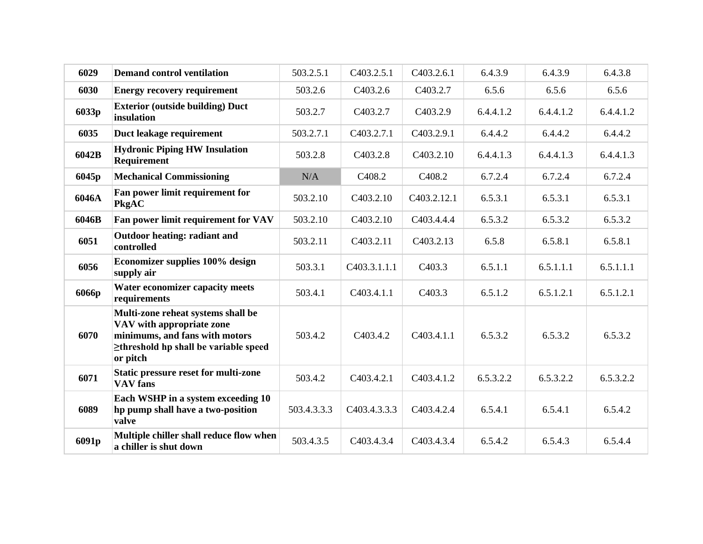| 6029  | <b>Demand control ventilation</b>                                                                                                                            | 503.2.5.1   | C403.2.5.1                | C403.2.6.1               | 6.4.3.9   | 6.4.3.9   | 6.4.3.8   |
|-------|--------------------------------------------------------------------------------------------------------------------------------------------------------------|-------------|---------------------------|--------------------------|-----------|-----------|-----------|
| 6030  | <b>Energy recovery requirement</b>                                                                                                                           | 503.2.6     | C <sub>4</sub> 03.2.6     | C403.2.7                 | 6.5.6     | 6.5.6     | 6.5.6     |
| 6033p | <b>Exterior (outside building) Duct</b><br>insulation                                                                                                        | 503.2.7     | C <sub>4</sub> 03.2.7     | C <sub>4</sub> 03.2.9    | 6.4.4.1.2 | 6.4.4.1.2 | 6.4.4.1.2 |
| 6035  | Duct leakage requirement                                                                                                                                     | 503.2.7.1   | C403.2.7.1                | C403.2.9.1               | 6.4.4.2   | 6.4.4.2   | 6.4.4.2   |
| 6042B | <b>Hydronic Piping HW Insulation</b><br><b>Requirement</b>                                                                                                   | 503.2.8     | C403.2.8                  | C403.2.10                | 6.4.4.1.3 | 6.4.4.1.3 | 6.4.4.1.3 |
| 6045p | <b>Mechanical Commissioning</b>                                                                                                                              | N/A         | C <sub>408.2</sub>        | C <sub>408.2</sub>       | 6.7.2.4   | 6.7.2.4   | 6.7.2.4   |
| 6046A | Fan power limit requirement for<br>PkgAC                                                                                                                     | 503.2.10    | C <sub>4</sub> 03.2.10    | C <sub>4</sub> 03.2.12.1 | 6.5.3.1   | 6.5.3.1   | 6.5.3.1   |
| 6046B | Fan power limit requirement for VAV                                                                                                                          | 503.2.10    | C <sub>4</sub> 03.2.10    | C403.4.4.4               | 6.5.3.2   | 6.5.3.2   | 6.5.3.2   |
| 6051  | <b>Outdoor heating: radiant and</b><br>controlled                                                                                                            | 503.2.11    | C403.2.11                 | C403.2.13                | 6.5.8     | 6.5.8.1   | 6.5.8.1   |
| 6056  | Economizer supplies 100% design<br>supply air                                                                                                                | 503.3.1     | C <sub>4</sub> 03.3.1.1.1 | C <sub>4</sub> 03.3      | 6.5.1.1   | 6.5.1.1.1 | 6.5.1.1.1 |
| 6066p | <b>Water economizer capacity meets</b><br>requirements                                                                                                       | 503.4.1     | C403.4.1.1                | C <sub>4</sub> 03.3      | 6.5.1.2   | 6.5.1.2.1 | 6.5.1.2.1 |
| 6070  | Multi-zone reheat systems shall be<br>VAV with appropriate zone<br>minimums, and fans with motors<br>$\geq$ threshold hp shall be variable speed<br>or pitch | 503.4.2     | C403.4.2                  | C403.4.1.1               | 6.5.3.2   | 6.5.3.2   | 6.5.3.2   |
| 6071  | <b>Static pressure reset for multi-zone</b><br><b>VAV</b> fans                                                                                               | 503.4.2     | C403.4.2.1                | C403.4.1.2               | 6.5.3.2.2 | 6.5.3.2.2 | 6.5.3.2.2 |
| 6089  | Each WSHP in a system exceeding 10<br>hp pump shall have a two-position<br>valve                                                                             | 503.4.3.3.3 | C403.4.3.3.3              | C403.4.2.4               | 6.5.4.1   | 6.5.4.1   | 6.5.4.2   |
| 6091p | Multiple chiller shall reduce flow when<br>a chiller is shut down                                                                                            | 503.4.3.5   | C <sub>4</sub> 03.4.3.4   | C403.4.3.4               | 6.5.4.2   | 6.5.4.3   | 6.5.4.4   |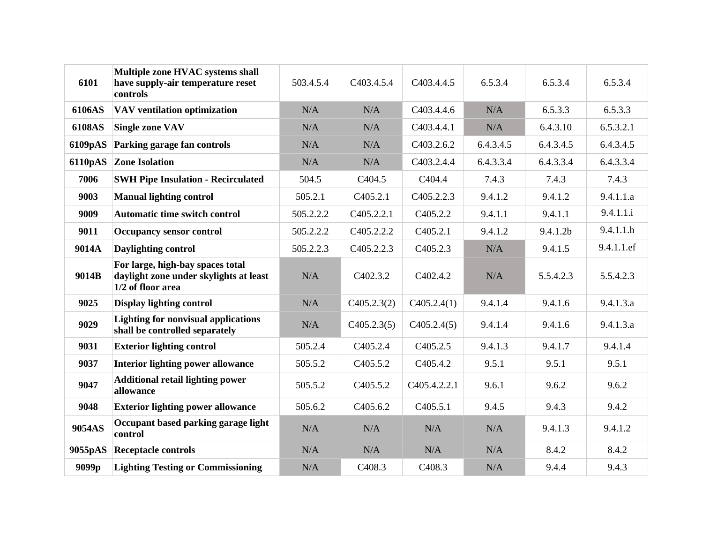| 6101    | Multiple zone HVAC systems shall<br>have supply-air temperature reset<br>controls               | 503.4.5.4 | C <sub>4</sub> 03.4.5.4 | C <sub>4</sub> 03.4.4.5   | 6.5.3.4   | 6.5.3.4   | 6.5.3.4    |
|---------|-------------------------------------------------------------------------------------------------|-----------|-------------------------|---------------------------|-----------|-----------|------------|
| 6106AS  | VAV ventilation optimization                                                                    | N/A       | N/A                     | C <sub>4</sub> 03.4.4.6   | N/A       | 6.5.3.3   | 6.5.3.3    |
| 6108AS  | <b>Single zone VAV</b>                                                                          | N/A       | N/A                     | C403.4.4.1                | N/A       | 6.4.3.10  | 6.5.3.2.1  |
| 6109pAS | Parking garage fan controls                                                                     | N/A       | N/A                     | C <sub>4</sub> 03.2.6.2   | 6.4.3.4.5 | 6.4.3.4.5 | 6.4.3.4.5  |
| 6110pAS | <b>Zone Isolation</b>                                                                           | N/A       | N/A                     | C403.2.4.4                | 6.4.3.3.4 | 6.4.3.3.4 | 6.4.3.3.4  |
| 7006    | <b>SWH Pipe Insulation - Recirculated</b>                                                       | 504.5     | C <sub>404.5</sub>      | C <sub>404.4</sub>        | 7.4.3     | 7.4.3     | 7.4.3      |
| 9003    | <b>Manual lighting control</b>                                                                  | 505.2.1   | C <sub>4</sub> 05.2.1   | C <sub>4</sub> 05.2.2.3   | 9.4.1.2   | 9.4.1.2   | 9.4.1.1.a  |
| 9009    | <b>Automatic time switch control</b>                                                            | 505.2.2.2 | C405.2.2.1              | C <sub>4</sub> 05.2.2     | 9.4.1.1   | 9.4.1.1   | 9.4.1.1.i  |
| 9011    | <b>Occupancy sensor control</b>                                                                 | 505.2.2.2 | C <sub>4</sub> 05.2.2.2 | C <sub>4</sub> 05.2.1     | 9.4.1.2   | 9.4.1.2b  | 9.4.1.1.h  |
| 9014A   | Daylighting control                                                                             | 505.2.2.3 | C <sub>4</sub> 05.2.2.3 | C <sub>4</sub> 05.2.3     | N/A       | 9.4.1.5   | 9.4.1.1.ef |
| 9014B   | For large, high-bay spaces total<br>daylight zone under skylights at least<br>1/2 of floor area | N/A       | C402.3.2                | C402.4.2                  | N/A       | 5.5.4.2.3 | 5.5.4.2.3  |
| 9025    | Display lighting control                                                                        | N/A       | C405.2.3(2)             | C405.2.4(1)               | 9.4.1.4   | 9.4.1.6   | 9.4.1.3.a  |
| 9029    | <b>Lighting for nonvisual applications</b><br>shall be controlled separately                    | N/A       | C405.2.3(5)             | C405.2.4(5)               | 9.4.1.4   | 9.4.1.6   | 9.4.1.3.a  |
| 9031    | <b>Exterior lighting control</b>                                                                | 505.2.4   | C405.2.4                | C <sub>4</sub> 05.2.5     | 9.4.1.3   | 9.4.1.7   | 9.4.1.4    |
| 9037    | <b>Interior lighting power allowance</b>                                                        | 505.5.2   | C <sub>4</sub> 05.5.2   | C <sub>4</sub> 05.4.2     | 9.5.1     | 9.5.1     | 9.5.1      |
| 9047    | <b>Additional retail lighting power</b><br>allowance                                            | 505.5.2   | C <sub>4</sub> 05.5.2   | C <sub>4</sub> 05.4.2.2.1 | 9.6.1     | 9.6.2     | 9.6.2      |
| 9048    | <b>Exterior lighting power allowance</b>                                                        | 505.6.2   | C <sub>4</sub> 05.6.2   | C <sub>4</sub> 05.5.1     | 9.4.5     | 9.4.3     | 9.4.2      |
| 9054AS  | Occupant based parking garage light<br>control                                                  | N/A       | N/A                     | N/A                       | N/A       | 9.4.1.3   | 9.4.1.2    |
| 9055pAS | <b>Receptacle controls</b>                                                                      | N/A       | N/A                     | N/A                       | N/A       | 8.4.2     | 8.4.2      |
| 9099p   | <b>Lighting Testing or Commissioning</b>                                                        | N/A       | C <sub>408.3</sub>      | C <sub>408.3</sub>        | N/A       | 9.4.4     | 9.4.3      |